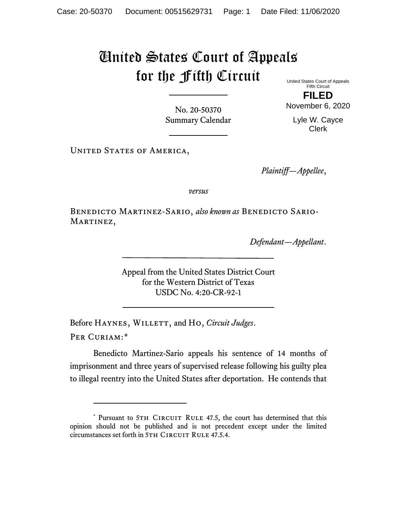## United States Court of Appeals for the Fifth Circuit

United States Court of Appeals Fifth Circuit

No. 20-50370 Summary Calendar

**FILED** November 6, 2020

> Lyle W. Cayce Clerk

UNITED STATES OF AMERICA,

*Plaintiff—Appellee*,

*versus*

Benedicto Martinez-Sario, *also known as* Benedicto Sario-MARTINEZ,

*Defendant—Appellant*.

Appeal from the United States District Court for the Western District of Texas USDC No. 4:20-CR-92-1

Before HAYNES, WILLETT, and Ho, *Circuit Judges*. Per Curiam:[\\*](#page-0-0)

Benedicto Martinez-Sario appeals his sentence of 14 months of imprisonment and three years of supervised release following his guilty plea to illegal reentry into the United States after deportation. He contends that

<span id="page-0-0"></span><sup>\*</sup> Pursuant to 5TH CIRCUIT RULE 47.5, the court has determined that this opinion should not be published and is not precedent except under the limited circumstances set forth in 5TH CIRCUIT RULE 47.5.4.